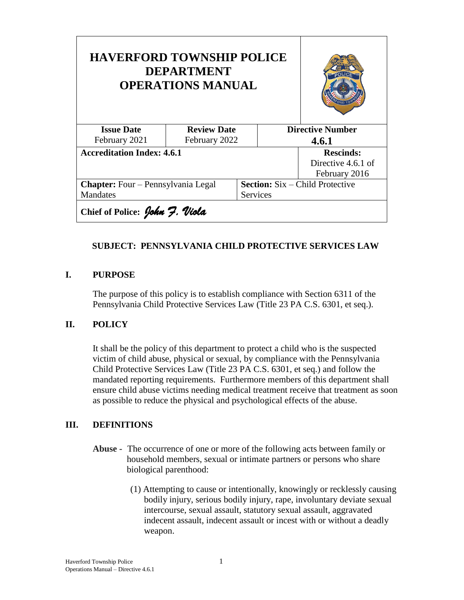| <b>HAVERFORD TOWNSHIP POLICE</b><br><b>DEPARTMENT</b><br><b>OPERATIONS MANUAL</b> |                    |  |                                        |                    |
|-----------------------------------------------------------------------------------|--------------------|--|----------------------------------------|--------------------|
| <b>Issue Date</b>                                                                 | <b>Review Date</b> |  | <b>Directive Number</b>                |                    |
| February 2021                                                                     | February 2022      |  | 4.6.1                                  |                    |
| <b>Accreditation Index: 4.6.1</b>                                                 |                    |  |                                        | <b>Rescinds:</b>   |
|                                                                                   |                    |  |                                        | Directive 4.6.1 of |
|                                                                                   |                    |  |                                        | February 2016      |
| Chapter: Four - Pennsylvania Legal                                                |                    |  | <b>Section:</b> Six – Child Protective |                    |
| Mandates                                                                          |                    |  | Services                               |                    |
| Chief of Police: John 7. Viola                                                    |                    |  |                                        |                    |

## **SUBJECT: PENNSYLVANIA CHILD PROTECTIVE SERVICES LAW**

### **I. PURPOSE**

The purpose of this policy is to establish compliance with Section 6311 of the Pennsylvania Child Protective Services Law (Title 23 PA C.S. 6301, et seq.).

### **II. POLICY**

It shall be the policy of this department to protect a child who is the suspected victim of child abuse, physical or sexual, by compliance with the Pennsylvania Child Protective Services Law (Title 23 PA C.S. 6301, et seq.) and follow the mandated reporting requirements. Furthermore members of this department shall ensure child abuse victims needing medical treatment receive that treatment as soon as possible to reduce the physical and psychological effects of the abuse.

### **III. DEFINITIONS**

- **Abuse -** The occurrence of one or more of the following acts between family or household members, sexual or intimate partners or persons who share biological parenthood:
	- (1) Attempting to cause or intentionally, knowingly or recklessly causing bodily injury, serious bodily injury, rape, involuntary deviate sexual intercourse, sexual assault, statutory sexual assault, aggravated indecent assault, indecent assault or incest with or without a deadly weapon.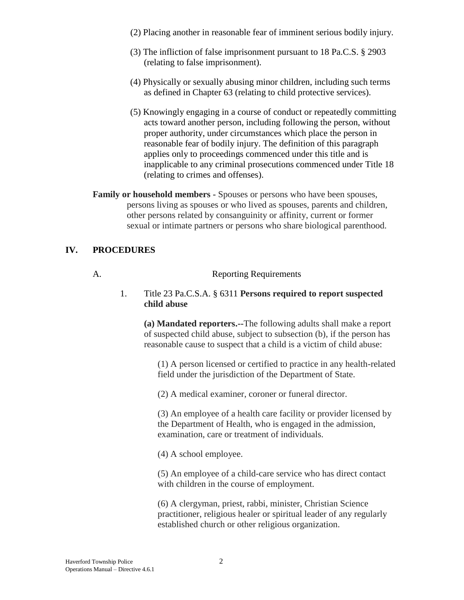- (2) Placing another in reasonable fear of imminent serious bodily injury.
- (3) The infliction of false imprisonment pursuant to 18 Pa.C.S. § 2903 (relating to false imprisonment).
- (4) Physically or sexually abusing minor children, including such terms as defined in Chapter 63 (relating to child protective services).
- (5) Knowingly engaging in a course of conduct or repeatedly committing acts toward another person, including following the person, without proper authority, under circumstances which place the person in reasonable fear of bodily injury. The definition of this paragraph applies only to proceedings commenced under this title and is inapplicable to any criminal prosecutions commenced under Title 18 (relating to crimes and offenses).

**Family or household members -** Spouses or persons who have been spouses, persons living as spouses or who lived as spouses, parents and children, other persons related by consanguinity or affinity, current or former sexual or intimate partners or persons who share biological parenthood.

### **IV. PROCEDURES**

#### A. Reporting Requirements

1. Title 23 Pa.C.S.A. § 6311 **Persons required to report suspected child abuse**

**(a) Mandated reporters.--**The following adults shall make a report of suspected child abuse, subject to subsection (b), if the person has reasonable cause to suspect that a child is a victim of child abuse:

(1) A person licensed or certified to practice in any health-related field under the jurisdiction of the Department of State.

(2) A medical examiner, coroner or funeral director.

(3) An employee of a health care facility or provider licensed by the Department of Health, who is engaged in the admission, examination, care or treatment of individuals.

(4) A school employee.

(5) An employee of a child-care service who has direct contact with children in the course of employment.

(6) A clergyman, priest, rabbi, minister, Christian Science practitioner, religious healer or spiritual leader of any regularly established church or other religious organization.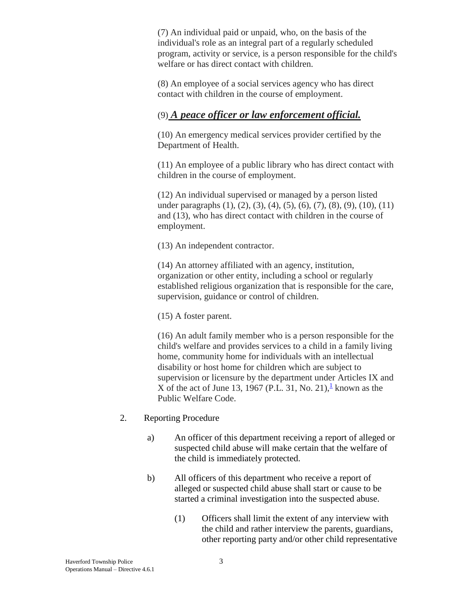(7) An individual paid or unpaid, who, on the basis of the individual's role as an integral part of a regularly scheduled program, activity or service, is a person responsible for the child's welfare or has direct contact with children.

(8) An employee of a social services agency who has direct contact with children in the course of employment.

# (9) *A peace officer or law enforcement official.*

(10) An emergency medical services provider certified by the Department of Health.

(11) An employee of a public library who has direct contact with children in the course of employment.

(12) An individual supervised or managed by a person listed under paragraphs (1), (2), (3), (4), (5), (6), (7), (8), (9), (10), (11) and (13), who has direct contact with children in the course of employment.

(13) An independent contractor.

(14) An attorney affiliated with an agency, institution, organization or other entity, including a school or regularly established religious organization that is responsible for the care, supervision, guidance or control of children.

(15) A foster parent.

(16) An adult family member who is a person responsible for the child's welfare and provides services to a child in a family living home, community home for individuals with an intellectual disability or host home for children which are subject to supervision or licensure by the department under Articles IX and X of the act of June [1](https://govt.westlaw.com/pac/Document/N85B33871265C11E592D1DBEED4567B5C?viewType=FullText&originationContext=documenttoc&transitionType=CategoryPageItem&contextData=(sc.Default)#co_footnote_I84823280265C11E5B05B95627F87B200)3, 1967 (P.L. 31, No. 21),  $\frac{1}{2}$  known as the Public Welfare Code.

- 2. Reporting Procedure
	- a) An officer of this department receiving a report of alleged or suspected child abuse will make certain that the welfare of the child is immediately protected.
	- b) All officers of this department who receive a report of alleged or suspected child abuse shall start or cause to be started a criminal investigation into the suspected abuse.
		- (1) Officers shall limit the extent of any interview with the child and rather interview the parents, guardians, other reporting party and/or other child representative